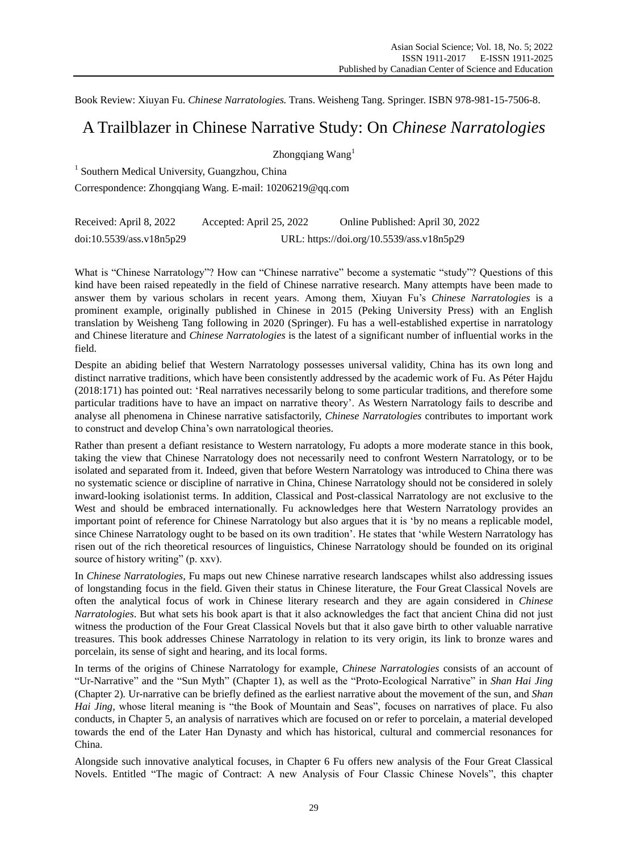Book Review: Xiuyan Fu. *Chinese Narratologies.* Trans. Weisheng Tang. Springer. ISBN 978-981-15-7506-8.

## A Trailblazer in Chinese Narrative Study: On *Chinese Narratologies*

Zhongqiang Wang<sup>1</sup>

<sup>1</sup> Southern Medical University, Guangzhou, China

Correspondence: Zhongqiang Wang. E-mail: [10206219@qq.com](mailto:10206219@qq.com)

| Received: April 8, 2022  | Accepted: April 25, 2022                  | Online Published: April 30, 2022 |
|--------------------------|-------------------------------------------|----------------------------------|
| doi:10.5539/ass.v18n5p29 | URL: https://doi.org/10.5539/ass.v18n5p29 |                                  |

What is "Chinese Narratology"? How can "Chinese narrative" become a systematic "study"? Questions of this kind have been raised repeatedly in the field of Chinese narrative research. Many attempts have been made to answer them by various scholars in recent years. Among them, Xiuyan Fu"s *Chinese Narratologies* is a prominent example, originally published in Chinese in 2015 (Peking University Press) with an English translation by Weisheng Tang following in 2020 (Springer). Fu has a well-established expertise in narratology and Chinese literature and *Chinese Narratologies* is the latest of a significant number of influential works in the field.

Despite an abiding belief that Western Narratology possesses universal validity, China has its own long and distinct narrative traditions, which have been consistently addressed by the academic work of Fu. As P éter Hajdu (2018:171) has pointed out: "Real narratives necessarily belong to some particular traditions, and therefore some particular traditions have to have an impact on narrative theory". As Western Narratology fails to describe and analyse all phenomena in Chinese narrative satisfactorily, *Chinese Narratologies* contributes to important work to construct and develop China"s own narratological theories.

Rather than present a defiant resistance to Western narratology, Fu adopts a more moderate stance in this book, taking the view that Chinese Narratology does not necessarily need to confront Western Narratology, or to be isolated and separated from it. Indeed, given that before Western Narratology was introduced to China there was no systematic science or discipline of narrative in China, Chinese Narratology should not be considered in solely inward-looking isolationist terms. In addition, Classical and Post-classical Narratology are not exclusive to the West and should be embraced internationally. Fu acknowledges here that Western Narratology provides an important point of reference for Chinese Narratology but also argues that it is "by no means a replicable model, since Chinese Narratology ought to be based on its own tradition". He states that "while Western Narratology has risen out of the rich theoretical resources of linguistics, Chinese Narratology should be founded on its original source of history writing" (p. xxv).

In *Chinese Narratologies,* Fu maps out new Chinese narrative research landscapes whilst also addressing issues of longstanding focus in the field. Given their status in Chinese literature, the Four Great Classical Novels are often the analytical focus of work in Chinese literary research and they are again considered in *Chinese Narratologies*. But what sets his book apart is that it also acknowledges the fact that ancient China did not just witness the production of the Four Great Classical Novels but that it also gave birth to other valuable narrative treasures. This book addresses Chinese Narratology in relation to its very origin, its link to bronze wares and porcelain, its sense of sight and hearing, and its local forms.

In terms of the origins of Chinese Narratology for example, *Chinese Narratologies* consists of an account of "Ur-Narrative" and the "Sun Myth" (Chapter 1), as well as the "Proto-Ecological Narrative" in *Shan Hai Jing* (Chapter 2)*.* Ur-narrative can be briefly defined as the earliest narrative about the movement of the sun, and *Shan Hai Jing*, whose literal meaning is "the Book of Mountain and Seas", focuses on narratives of place. Fu also conducts, in Chapter 5, an analysis of narratives which are focused on or refer to porcelain, a material developed towards the end of the Later Han Dynasty and which has historical, cultural and commercial resonances for China.

Alongside such innovative analytical focuses, in Chapter 6 Fu offers new analysis of the Four Great Classical Novels. Entitled "The magic of Contract: A new Analysis of Four Classic Chinese Novels", this chapter